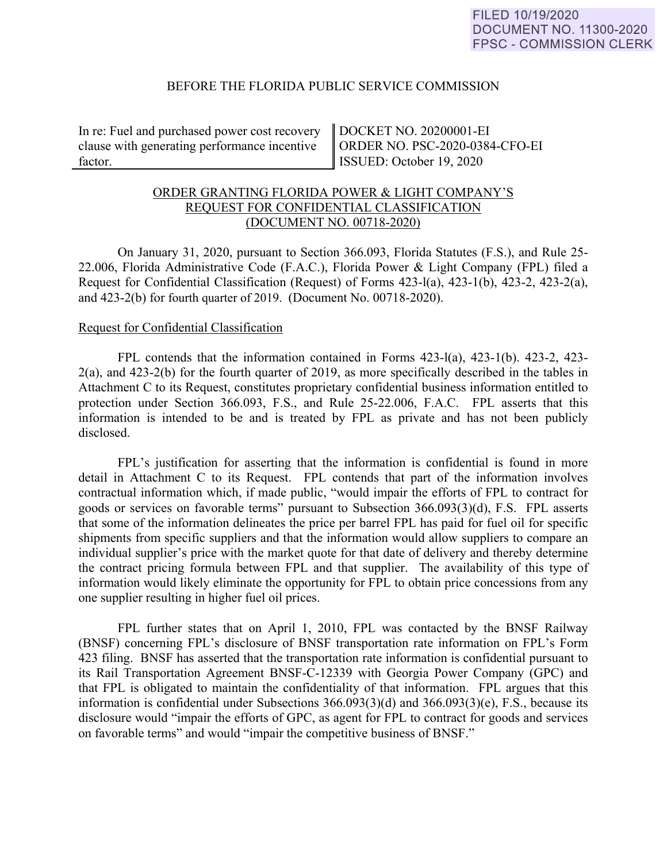### BEFORE THE FLORIDA PUBLIC SERVICE COMMISSION

In re: Fuel and purchased power cost recovery clause with generating performance incentive factor.

DOCKET NO. 20200001-EI ORDER NO. PSC-2020-0384-CFO-EI ISSUED: October 19, 2020

# ORDER GRANTING FLORIDA POWER & LIGHT COMPANY'S REQUEST FOR CONFIDENTIAL CLASSIFICATION (DOCUMENT NO. 00718-2020)

On January 31, 2020, pursuant to Section 366.093, Florida Statutes (F.S.), and Rule 25- 22.006, Florida Administrative Code (F.A.C.), Florida Power & Light Company (FPL) filed a Request for Confidential Classification (Request) of Forms 423-l(a), 423-1(b), 423-2, 423-2(a), and 423-2(b) for fourth quarter of 2019. (Document No. 00718-2020).

#### Request for Confidential Classification

 FPL contends that the information contained in Forms 423-l(a), 423-1(b). 423-2, 423- 2(a), and 423-2(b) for the fourth quarter of 2019, as more specifically described in the tables in Attachment C to its Request, constitutes proprietary confidential business information entitled to protection under Section 366.093, F.S., and Rule 25-22.006, F.A.C. FPL asserts that this information is intended to be and is treated by FPL as private and has not been publicly disclosed.

FPL's justification for asserting that the information is confidential is found in more detail in Attachment C to its Request. FPL contends that part of the information involves contractual information which, if made public, "would impair the efforts of FPL to contract for goods or services on favorable terms" pursuant to Subsection 366.093(3)(d), F.S. FPL asserts that some of the information delineates the price per barrel FPL has paid for fuel oil for specific shipments from specific suppliers and that the information would allow suppliers to compare an individual supplier's price with the market quote for that date of delivery and thereby determine the contract pricing formula between FPL and that supplier. The availability of this type of information would likely eliminate the opportunity for FPL to obtain price concessions from any one supplier resulting in higher fuel oil prices.

 FPL further states that on April 1, 2010, FPL was contacted by the BNSF Railway (BNSF) concerning FPL's disclosure of BNSF transportation rate information on FPL's Form 423 filing. BNSF has asserted that the transportation rate information is confidential pursuant to its Rail Transportation Agreement BNSF-C-12339 with Georgia Power Company (GPC) and that FPL is obligated to maintain the confidentiality of that information. FPL argues that this information is confidential under Subsections 366.093(3)(d) and 366.093(3)(e), F.S., because its disclosure would "impair the efforts of GPC, as agent for FPL to contract for goods and services on favorable terms" and would "impair the competitive business of BNSF."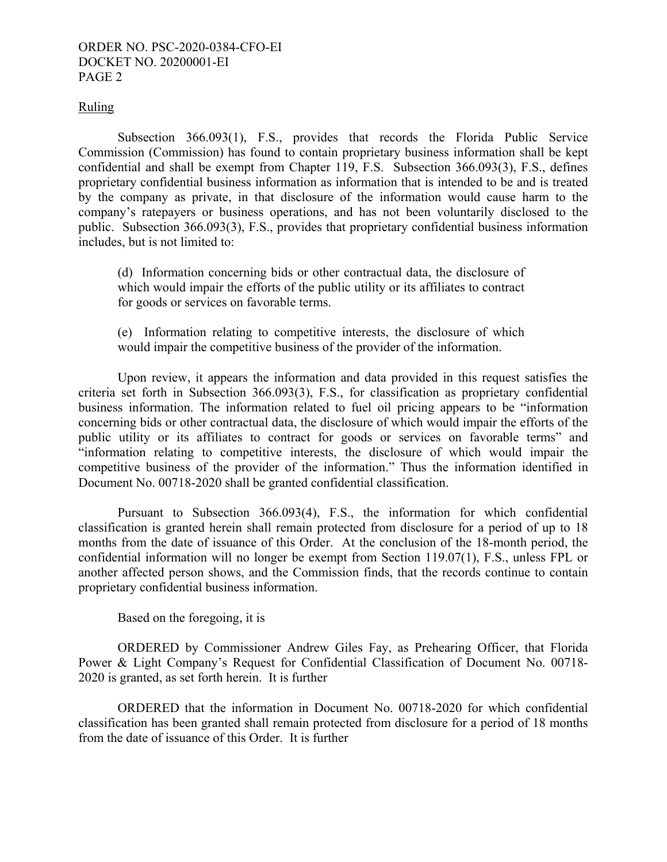### ORDER NO. PSC-2020-0384-CFO-EI DOCKET NO. 20200001-EI PAGE 2

### Ruling

Subsection 366.093(1), F.S., provides that records the Florida Public Service Commission (Commission) has found to contain proprietary business information shall be kept confidential and shall be exempt from Chapter 119, F.S. Subsection 366.093(3), F.S., defines proprietary confidential business information as information that is intended to be and is treated by the company as private, in that disclosure of the information would cause harm to the company's ratepayers or business operations, and has not been voluntarily disclosed to the public. Subsection 366.093(3), F.S., provides that proprietary confidential business information includes, but is not limited to:

(d) Information concerning bids or other contractual data, the disclosure of which would impair the efforts of the public utility or its affiliates to contract for goods or services on favorable terms.

(e) Information relating to competitive interests, the disclosure of which would impair the competitive business of the provider of the information.

Upon review, it appears the information and data provided in this request satisfies the criteria set forth in Subsection 366.093(3), F.S., for classification as proprietary confidential business information. The information related to fuel oil pricing appears to be "information concerning bids or other contractual data, the disclosure of which would impair the efforts of the public utility or its affiliates to contract for goods or services on favorable terms" and "information relating to competitive interests, the disclosure of which would impair the competitive business of the provider of the information." Thus the information identified in Document No. 00718-2020 shall be granted confidential classification.

Pursuant to Subsection 366.093(4), F.S., the information for which confidential classification is granted herein shall remain protected from disclosure for a period of up to 18 months from the date of issuance of this Order. At the conclusion of the 18-month period, the confidential information will no longer be exempt from Section 119.07(1), F.S., unless FPL or another affected person shows, and the Commission finds, that the records continue to contain proprietary confidential business information.

Based on the foregoing, it is

 ORDERED by Commissioner Andrew Giles Fay, as Prehearing Officer, that Florida Power & Light Company's Request for Confidential Classification of Document No. 00718- 2020 is granted, as set forth herein. It is further

 ORDERED that the information in Document No. 00718-2020 for which confidential classification has been granted shall remain protected from disclosure for a period of 18 months from the date of issuance of this Order. It is further